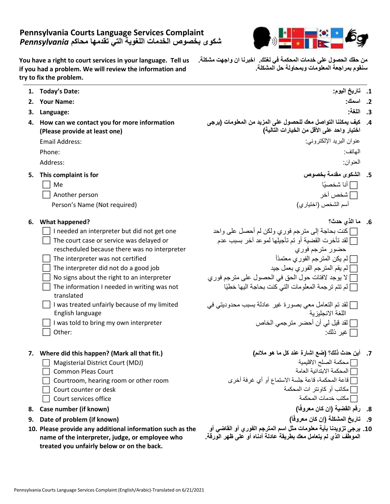|  |  |   |  | $\Box$ The court case or service was delayed or |  |
|--|--|---|--|-------------------------------------------------|--|
|  |  | . |  |                                                 |  |

rescheduled because there was no interpreter

**Pennsylvania Courts Language Services Complaint شكوى بخصوص الخدمات اللغوية التي تقدمها محاكم** *Pennsylvania*

**You have a right to court services in your language. Tell us if you had a problem. We will review the information and** 

**4. How can we contact you for more information** 

**(Please provide at least one)**

**try to fix the problem.**

- 
- 
- The information I needed in writing was not translated
- I was treated unfairly because of my limited English language
- 
- 

## **.7 أين حدث ذلك؟ )ضع اشارة عند كل ما هو مالئم( (.fit that all Mark? (happen this did Where 7.**

- $\Box$  Magisterial District Court (MDJ)
	-
- 
- 
- 
- **8. Case number (if known) )ا**
- **9. Date of problem (if known) )أ**
- **10. Please provide any additional information such as the name of the interpreter, judge, or employee who treated you unfairly below or on the back.**
- **من حقك الحصول على خدمات المحكمة في لغتك. اخبرنا ان واجهت مشكلة. سنقوم بمراجعة المعلومات وبمحاولة حل المشكلة.**
- **1. Today's Date: :اليوم تاريخ .1**
- **2. Your Name: :اسمك .2**
- **.3 اللغة: :Language 3.**
	- **.4 كيف يمكننا التواصل معك للحصول على المزيد من المعلومات )يرجى اختيار واحد على األقل من الخيارات التالية(**  عنوان البريد اإللكتروني: :Address Email

الهاتف: :Phone

العنوان: :Address

- **5. This complaint is for بخصوص مقدمة الشكوى .5**
	- أنا شخصيًا Me  $\Box$  Another person آشخص آخر  $\Box$

Person's Name (Not required) )اختياري )الشخص أسم

**.6 ما الذي حدث؟ ?happened What 6.**  $\Box$  I needed an interpreter but did not get one كنت بحاجة إلى مترجم فوري ولكن لم أحصل على واحد  $\Box$  لقد تأخرت القضية أو تم تأجيلها لموعد آخر بسبب عدم حضور مترجم فوري The interpreter was not certified أَم يكن المترجم الفوري معتمدًا المترجم الفوري معتمدًا The interpreter did not do a good job جيد بعمل جيد بعمل الفوري بعمل الفوري بعمل المترجم الفوري بعمل الفوري المت No signs about the right to an interpreter  $\Box$  لا يوجد لافتات حول الحق في الحصول على مترجم فوري  $\Box$ لم تتم ترجمة المعلومات التي كنت بحاجة اليها خطيًا

 لقد تم التعامل معي بصورة غير عادلة بسبب محدوديتي في اللغة االنجليزية I was told to bring my own interpreter الخاص مترجمي أحضر أن لي قيل لقد  $\Box$  Other: فير ذلك:  $\Box$ 

- Common Pleas Court العامة االبتدائية المحكمة قاعة المحكمة، قاعة جلسة االستماع أو أي غرفة أخرى room other or room hearing ,Courtroom  $\Box$  Court counter or desk المحكمة التي أو كاونتر أت المحكمة التعطيم المحكمة التي كاونتر أو مكاتب أو كاونتر أو  $\Box$  $\Box$  Court services office المحكمة خدمات المحكمة خدمات المحكمة خدمات المحكمة خدمات المحكمة  $\Box$ 
	- **.8 رقم القضية )إن كان معروفً**
	- **.9 تاريخ المشكلة )إن كان معروفً**
	- **.10 يرجى تزويدنا بأية معلومات مثل اسم المترجم الفوري أو القاضي أو الموطف الذي لم يتعامل معك بطريقة عادلة أدناه أو على ظهر الورقة.**